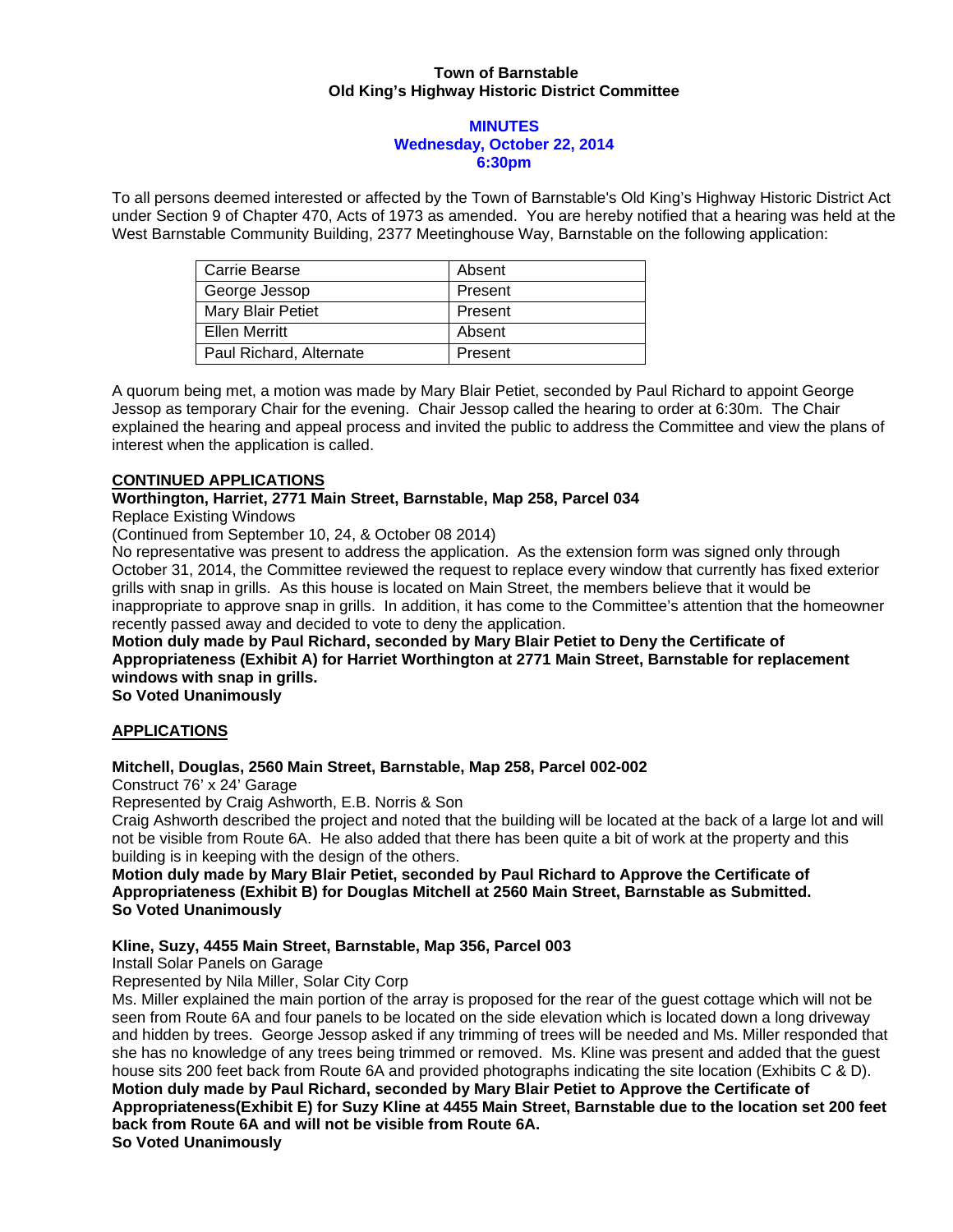## **Town of Barnstable Old King's Highway Historic District Committee**

#### **MINUTES Wednesday, October 22, 2014 6:30pm**

To all persons deemed interested or affected by the Town of Barnstable's Old King's Highway Historic District Act under Section 9 of Chapter 470, Acts of 1973 as amended. You are hereby notified that a hearing was held at the West Barnstable Community Building, 2377 Meetinghouse Way, Barnstable on the following application:

| Carrie Bearse           | Absent  |
|-------------------------|---------|
| George Jessop           | Present |
| Mary Blair Petiet       | Present |
| Ellen Merritt           | Absent  |
| Paul Richard, Alternate | Present |

A quorum being met, a motion was made by Mary Blair Petiet, seconded by Paul Richard to appoint George Jessop as temporary Chair for the evening. Chair Jessop called the hearing to order at 6:30m. The Chair explained the hearing and appeal process and invited the public to address the Committee and view the plans of interest when the application is called.

## **CONTINUED APPLICATIONS**

## **Worthington, Harriet, 2771 Main Street, Barnstable, Map 258, Parcel 034**

Replace Existing Windows

(Continued from September 10, 24, & October 08 2014)

No representative was present to address the application. As the extension form was signed only through October 31, 2014, the Committee reviewed the request to replace every window that currently has fixed exterior grills with snap in grills. As this house is located on Main Street, the members believe that it would be inappropriate to approve snap in grills. In addition, it has come to the Committee's attention that the homeowner recently passed away and decided to vote to deny the application.

**Motion duly made by Paul Richard, seconded by Mary Blair Petiet to Deny the Certificate of Appropriateness (Exhibit A) for Harriet Worthington at 2771 Main Street, Barnstable for replacement windows with snap in grills.** 

**So Voted Unanimously** 

# **APPLICATIONS**

# **Mitchell, Douglas, 2560 Main Street, Barnstable, Map 258, Parcel 002-002**

Construct 76' x 24' Garage

Represented by Craig Ashworth, E.B. Norris & Son

Craig Ashworth described the project and noted that the building will be located at the back of a large lot and will not be visible from Route 6A. He also added that there has been quite a bit of work at the property and this building is in keeping with the design of the others.

## **Motion duly made by Mary Blair Petiet, seconded by Paul Richard to Approve the Certificate of Appropriateness (Exhibit B) for Douglas Mitchell at 2560 Main Street, Barnstable as Submitted. So Voted Unanimously**

# **Kline, Suzy, 4455 Main Street, Barnstable, Map 356, Parcel 003**

Install Solar Panels on Garage

Represented by Nila Miller, Solar City Corp

Ms. Miller explained the main portion of the array is proposed for the rear of the guest cottage which will not be seen from Route 6A and four panels to be located on the side elevation which is located down a long driveway and hidden by trees. George Jessop asked if any trimming of trees will be needed and Ms. Miller responded that she has no knowledge of any trees being trimmed or removed. Ms. Kline was present and added that the guest house sits 200 feet back from Route 6A and provided photographs indicating the site location (Exhibits C & D). **Motion duly made by Paul Richard, seconded by Mary Blair Petiet to Approve the Certificate of Appropriateness(Exhibit E) for Suzy Kline at 4455 Main Street, Barnstable due to the location set 200 feet back from Route 6A and will not be visible from Route 6A. So Voted Unanimously**